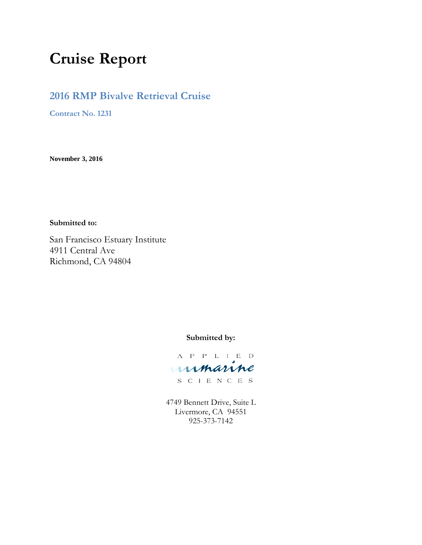# **Cruise Report**

# **2016 RMP Bivalve Retrieval Cruise**

**Contract No. 1231**

**November 3, 2016**

**Submitted to:**

San Francisco Estuary Institute 4911 Central Ave Richmond, CA 94804

**Submitted by:**

A P P L I E D unmanne

S C I E N C E S

4749 Bennett Drive, Suite L Livermore, CA 94551 925-373-7142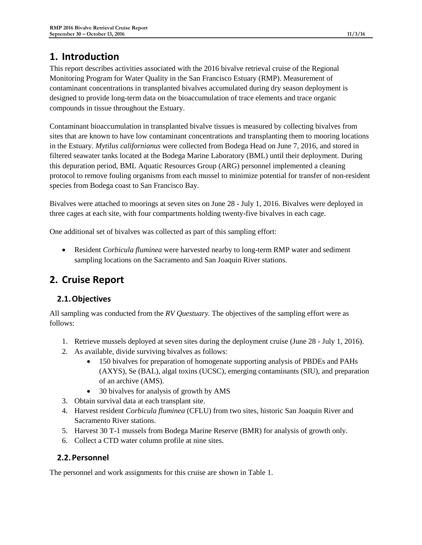# **1. Introduction**

This report describes activities associated with the 2016 bivalve retrieval cruise of the Regional Monitoring Program for Water Quality in the San Francisco Estuary (RMP). Measurement of contaminant concentrations in transplanted bivalves accumulated during dry season deployment is designed to provide long-term data on the bioaccumulation of trace elements and trace organic compounds in tissue throughout the Estuary.

Contaminant bioaccumulation in transplanted bivalve tissues is measured by collecting bivalves from sites that are known to have low contaminant concentrations and transplanting them to mooring locations in the Estuary. *Mytilus californianus* were collected from Bodega Head on June 7, 2016, and stored in filtered seawater tanks located at the Bodega Marine Laboratory (BML) until their deployment. During this depuration period, BML Aquatic Resources Group (ARG) personnel implemented a cleaning protocol to remove fouling organisms from each mussel to minimize potential for transfer of non-resident species from Bodega coast to San Francisco Bay.

Bivalves were attached to moorings at seven sites on June 28 - July 1, 2016. Bivalves were deployed in three cages at each site, with four compartments holding twenty-five bivalves in each cage.

One additional set of bivalves was collected as part of this sampling effort:

• Resident *Corbicula fluminea* were harvested nearby to long-term RMP water and sediment sampling locations on the Sacramento and San Joaquin River stations.

# **2. Cruise Report**

## **2.1.Objectives**

All sampling was conducted from the *RV Questuary.* The objectives of the sampling effort were as follows:

- 1. Retrieve mussels deployed at seven sites during the deployment cruise (June 28 July 1, 2016).
- 2. As available, divide surviving bivalves as follows:
	- 150 bivalves for preparation of homogenate supporting analysis of PBDEs and PAHs (AXYS), Se (BAL), algal toxins (UCSC), emerging contaminants (SIU), and preparation of an archive (AMS).
	- 30 bivalves for analysis of growth by AMS
- 3. Obtain survival data at each transplant site.
- 4. Harvest resident *Corbicula fluminea* (CFLU) from two sites, historic San Joaquin River and Sacramento River stations.
- 5. Harvest 30 T-1 mussels from Bodega Marine Reserve (BMR) for analysis of growth only.
- 6. Collect a CTD water column profile at nine sites.

#### **2.2.Personnel**

The personnel and work assignments for this cruise are shown in [Table 1.](#page-2-0)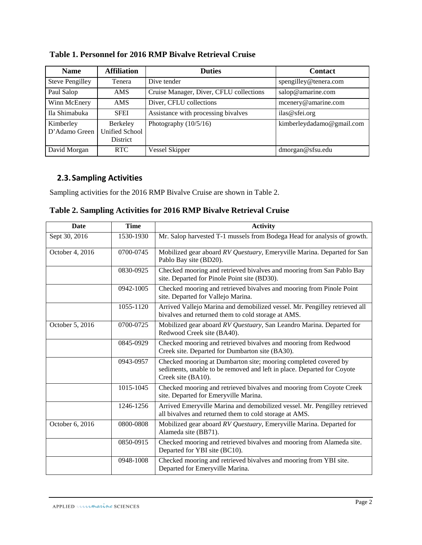| <b>Name</b>                | <b>Affiliation</b>                                   | <b>Duties</b>                           | <b>Contact</b>            |
|----------------------------|------------------------------------------------------|-----------------------------------------|---------------------------|
| <b>Steve Pengilley</b>     | Tenera                                               | Dive tender                             | spengilley@tenera.com     |
| Paul Salop                 | AMS.                                                 | Cruise Manager, Diver, CFLU collections | salop@amarine.com         |
| Winn McEnery               | <b>AMS</b>                                           | Diver, CFLU collections                 | mcenery@amarine.com       |
| Ila Shimabuka              | <b>SFEI</b>                                          | Assistance with processing bivalves     | ilas@sfei.org             |
| Kimberley<br>D'Adamo Green | Berkeley<br><b>Unified School</b><br><b>District</b> | Photography $(10/5/16)$                 | kimberleydadamo@gmail.com |
| David Morgan               | RTC.                                                 | Vessel Skipper                          | dmorgan@sfsu.edu          |

### <span id="page-2-0"></span>**Table 1. Personnel for 2016 RMP Bivalve Retrieval Cruise**

#### **2.3.Sampling Activities**

Sampling activities for the 2016 RMP Bivalve Cruise are shown in [Table 2.](#page-2-1)

<span id="page-2-1"></span>

|  |  | Table 2. Sampling Activities for 2016 RMP Bivalve Retrieval Cruise |  |  |  |  |
|--|--|--------------------------------------------------------------------|--|--|--|--|
|--|--|--------------------------------------------------------------------|--|--|--|--|

| <b>Date</b>     | <b>Time</b> | <b>Activity</b>                                                                                                                                                 |
|-----------------|-------------|-----------------------------------------------------------------------------------------------------------------------------------------------------------------|
| Sept 30, 2016   | 1530-1930   | Mr. Salop harvested T-1 mussels from Bodega Head for analysis of growth.                                                                                        |
| October 4, 2016 | 0700-0745   | Mobilized gear aboard RV Questuary, Emeryville Marina. Departed for San<br>Pablo Bay site (BD20).                                                               |
|                 | 0830-0925   | Checked mooring and retrieved bivalves and mooring from San Pablo Bay<br>site. Departed for Pinole Point site (BD30).                                           |
|                 | 0942-1005   | Checked mooring and retrieved bivalves and mooring from Pinole Point<br>site. Departed for Vallejo Marina.                                                      |
|                 | 1055-1120   | Arrived Vallejo Marina and demobilized vessel. Mr. Pengilley retrieved all<br>bivalves and returned them to cold storage at AMS.                                |
| October 5, 2016 | 0700-0725   | Mobilized gear aboard RV Questuary, San Leandro Marina. Departed for<br>Redwood Creek site (BA40).                                                              |
|                 | 0845-0929   | Checked mooring and retrieved bivalves and mooring from Redwood<br>Creek site. Departed for Dumbarton site (BA30).                                              |
|                 | 0943-0957   | Checked mooring at Dumbarton site; mooring completed covered by<br>sediments, unable to be removed and left in place. Departed for Coyote<br>Creek site (BA10). |
|                 | 1015-1045   | Checked mooring and retrieved bivalves and mooring from Coyote Creek<br>site. Departed for Emeryville Marina.                                                   |
|                 | 1246-1256   | Arrived Emeryville Marina and demobilized vessel. Mr. Pengilley retrieved<br>all bivalves and returned them to cold storage at AMS.                             |
| October 6, 2016 | 0800-0808   | Mobilized gear aboard RV Questuary, Emeryville Marina. Departed for<br>Alameda site (BB71).                                                                     |
|                 | 0850-0915   | Checked mooring and retrieved bivalves and mooring from Alameda site.<br>Departed for YBI site (BC10).                                                          |
|                 | 0948-1008   | Checked mooring and retrieved bivalves and mooring from YBI site.<br>Departed for Emeryville Marina.                                                            |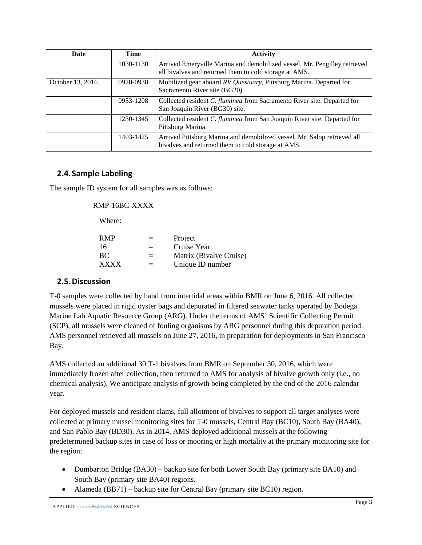| Date             | Time      | <b>Activity</b>                                                                                                                     |
|------------------|-----------|-------------------------------------------------------------------------------------------------------------------------------------|
|                  | 1030-1130 | Arrived Emeryville Marina and demobilized vessel. Mr. Pengilley retrieved<br>all bivalves and returned them to cold storage at AMS. |
| October 13, 2016 | 0920-0938 | Mobilized gear aboard RV Questuary, Pittsburg Marina. Departed for<br>Sacramento River site (BG20).                                 |
|                  | 0953-1208 | Collected resident C. fluminea from Sacramento River site. Departed for<br>San Joaquin River (BG30) site.                           |
|                  | 1230-1345 | Collected resident C. fluminea from San Joaquin River site. Departed for<br>Pittsburg Marina.                                       |
|                  | 1403-1425 | Arrived Pittsburg Marina and demobilized vessel. Mr. Salop retrieved all<br>bivalves and returned them to cold storage at AMS.      |

#### **2.4.Sample Labeling**

The sample ID system for all samples was as follows:

#### RMP-16BC-XXXX

Where:

| $=$ | Project                 |
|-----|-------------------------|
| $=$ | Cruise Year             |
| $=$ | Matrix (Bivalve Cruise) |
| $=$ | Unique ID number        |
|     |                         |

#### **2.5.Discussion**

T-0 samples were collected by hand from intertidal areas within BMR on June 6, 2016. All collected mussels were placed in rigid oyster bags and depurated in filtered seawater tanks operated by Bodega Marine Lab Aquatic Resource Group (ARG). Under the terms of AMS' Scientific Collecting Permit (SCP), all mussels were cleaned of fouling organisms by ARG personnel during this depuration period. AMS personnel retrieved all mussels on June 27, 2016, in preparation for deployments in San Francisco Bay.

AMS collected an additional 30 T-1 bivalves from BMR on September 30, 2016, which were immediately frozen after collection, then returned to AMS for analysis of bivalve growth only (i.e., no chemical analysis). We anticipate analysis of growth being completed by the end of the 2016 calendar year.

For deployed mussels and resident clams, full allotment of bivalves to support all target analyses were collected at primary mussel monitoring sites for T-0 mussels, Central Bay (BC10), South Bay (BA40), and San Pablo Bay (BD30). As in 2014, AMS deployed additional mussels at the following predetermined backup sites in case of loss or mooring or high mortality at the primary monitoring site for the region:

- Dumbarton Bridge (BA30) backup site for both Lower South Bay (primary site BA10) and South Bay (primary site BA40) regions.
- Alameda (BB71) backup site for Central Bay (primary site BC10) region.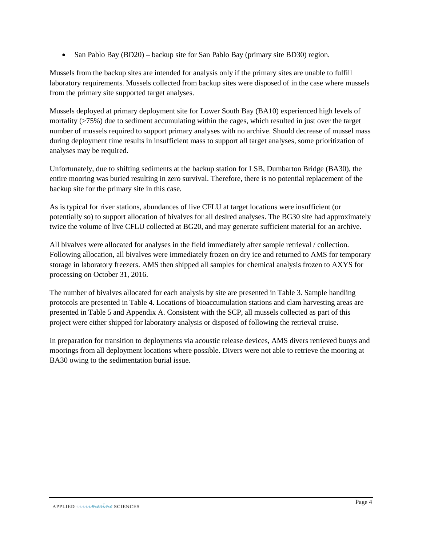• San Pablo Bay (BD20) – backup site for San Pablo Bay (primary site BD30) region.

Mussels from the backup sites are intended for analysis only if the primary sites are unable to fulfill laboratory requirements. Mussels collected from backup sites were disposed of in the case where mussels from the primary site supported target analyses.

Mussels deployed at primary deployment site for Lower South Bay (BA10) experienced high levels of mortality (>75%) due to sediment accumulating within the cages, which resulted in just over the target number of mussels required to support primary analyses with no archive. Should decrease of mussel mass during deployment time results in insufficient mass to support all target analyses, some prioritization of analyses may be required.

Unfortunately, due to shifting sediments at the backup station for LSB, Dumbarton Bridge (BA30), the entire mooring was buried resulting in zero survival. Therefore, there is no potential replacement of the backup site for the primary site in this case.

As is typical for river stations, abundances of live CFLU at target locations were insufficient (or potentially so) to support allocation of bivalves for all desired analyses. The BG30 site had approximately twice the volume of live CFLU collected at BG20, and may generate sufficient material for an archive.

All bivalves were allocated for analyses in the field immediately after sample retrieval / collection. Following allocation, all bivalves were immediately frozen on dry ice and returned to AMS for temporary storage in laboratory freezers. AMS then shipped all samples for chemical analysis frozen to AXYS for processing on October 31, 2016.

The number of bivalves allocated for each analysis by site are presented in [Table 3.](#page-5-0) Sample handling protocols are presented in [Table 4.](#page-6-0) Locations of bioaccumulation stations and clam harvesting areas are presented in [Table 5](#page-6-1) and Appendix A. Consistent with the SCP, all mussels collected as part of this project were either shipped for laboratory analysis or disposed of following the retrieval cruise.

In preparation for transition to deployments via acoustic release devices, AMS divers retrieved buoys and moorings from all deployment locations where possible. Divers were not able to retrieve the mooring at BA30 owing to the sedimentation burial issue.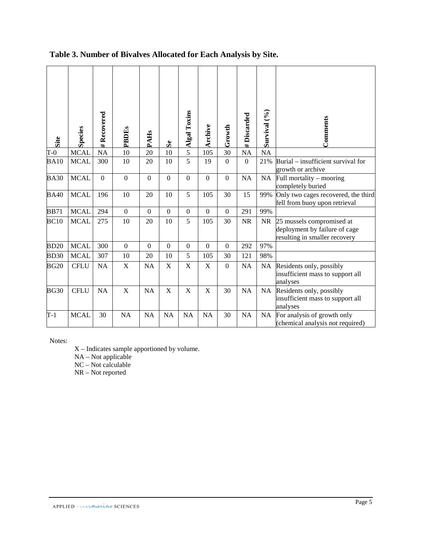| Site        | <b>Species</b> | Recovered<br># | PBDEs            | <b>PAHs</b>  | S <sub>e</sub>   | <b>Algal Toxins</b>       | Archive                   | Growth           | #Discarded       | Survival (%) | Comments                                                                                    |
|-------------|----------------|----------------|------------------|--------------|------------------|---------------------------|---------------------------|------------------|------------------|--------------|---------------------------------------------------------------------------------------------|
| $T-0$       | <b>MCAL</b>    | <b>NA</b>      | 10               | 20           | 10               | 5                         | 105                       | 30               | <b>NA</b>        | <b>NA</b>    |                                                                                             |
| <b>BA10</b> | <b>MCAL</b>    | 300            | 10               | 20           | 10               | 5                         | 19                        | $\mathbf{0}$     | $\boldsymbol{0}$ | 21%          | Burial – insufficient survival for<br>growth or archive                                     |
| <b>BA30</b> | <b>MCAL</b>    | $\Omega$       | $\overline{0}$   | $\Omega$     | $\Omega$         | $\mathbf{0}$              | $\theta$                  | $\overline{0}$   | <b>NA</b>        | <b>NA</b>    | Full mortality – mooring<br>completely buried                                               |
| <b>BA40</b> | <b>MCAL</b>    | 196            | 10               | 20           | 10               | 5                         | 105                       | 30               | 15               | 99%          | Only two cages recovered, the third<br>fell from buoy upon retrieval                        |
| <b>BB71</b> | <b>MCAL</b>    | 294            | $\boldsymbol{0}$ | $\mathbf{0}$ | $\boldsymbol{0}$ | $\boldsymbol{0}$          | $\boldsymbol{0}$          | $\boldsymbol{0}$ | 291              | 99%          |                                                                                             |
| BC10        | <b>MCAL</b>    | 275            | 10               | 20           | 10               | 5                         | 105                       | 30               | <b>NR</b>        | <b>NR</b>    | 25 mussels compromised at<br>deployment by failure of cage<br>resulting in smaller recovery |
| <b>BD20</b> | <b>MCAL</b>    | 300            | $\boldsymbol{0}$ | $\mathbf{0}$ | $\boldsymbol{0}$ | $\mathbf{0}$              | $\overline{0}$            | $\boldsymbol{0}$ | 292              | 97%          |                                                                                             |
| <b>BD30</b> | <b>MCAL</b>    | 307            | 10               | 20           | 10               | 5                         | 105                       | 30               | 121              | 98%          |                                                                                             |
| <b>BG20</b> | <b>CFLU</b>    | NA             | $\mathbf X$      | <b>NA</b>    | $\mathbf X$      | $\mathbf X$               | X                         | $\Omega$         | NA               | <b>NA</b>    | Residents only, possibly<br>insufficient mass to support all<br>analyses                    |
| <b>BG30</b> | <b>CFLU</b>    | <b>NA</b>      | $\mathbf X$      | <b>NA</b>    | $\mathbf X$      | $\boldsymbol{\mathrm{X}}$ | $\boldsymbol{\mathrm{X}}$ | 30               | <b>NA</b>        | <b>NA</b>    | Residents only, possibly<br>insufficient mass to support all<br>analyses                    |
| $T-1$       | <b>MCAL</b>    | 30             | <b>NA</b>        | <b>NA</b>    | <b>NA</b>        | <b>NA</b>                 | NA                        | 30               | <b>NA</b>        | NA           | For analysis of growth only<br>(chemical analysis not required)                             |

# <span id="page-5-0"></span>**Table 3. Number of Bivalves Allocated for Each Analysis by Site.**

Notes:

X – Indicates sample apportioned by volume.

NA – Not applicable

 $NC - Not$  calculable

NR – Not reported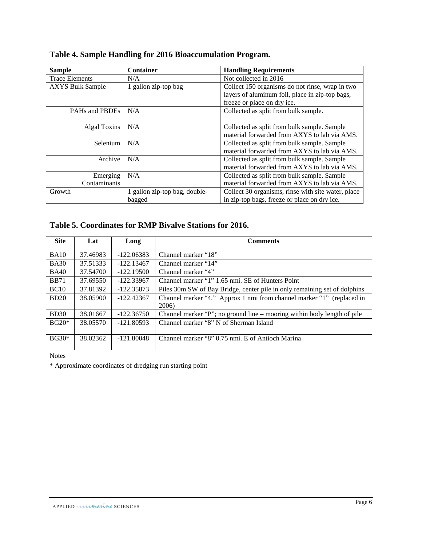| <b>Sample</b>           | <b>Container</b>              | <b>Handling Requirements</b>                                                                       |
|-------------------------|-------------------------------|----------------------------------------------------------------------------------------------------|
| <b>Trace Elements</b>   | N/A                           | Not collected in 2016                                                                              |
| <b>AXYS Bulk Sample</b> | 1 gallon zip-top bag          | Collect 150 organisms do not rinse, wrap in two<br>layers of aluminum foil, place in zip-top bags, |
|                         |                               | freeze or place on dry ice.                                                                        |
| PAHs and PBDEs          | N/A                           | Collected as split from bulk sample.                                                               |
| Algal Toxins            | N/A                           | Collected as split from bulk sample. Sample<br>material forwarded from AXYS to lab via AMS.        |
| Selenium                | N/A                           | Collected as split from bulk sample. Sample<br>material forwarded from AXYS to lab via AMS.        |
| Archive                 | N/A                           | Collected as split from bulk sample. Sample<br>material forwarded from AXYS to lab via AMS.        |
| Emerging                | N/A                           | Collected as split from bulk sample. Sample                                                        |
| Contaminants            |                               | material forwarded from AXYS to lab via AMS.                                                       |
| Growth                  | 1 gallon zip-top bag, double- | Collect 30 organisms, rinse with site water, place                                                 |
|                         | bagged                        | in zip-top bags, freeze or place on dry ice.                                                       |

# <span id="page-6-0"></span>**Table 4. Sample Handling for 2016 Bioaccumulation Program.**

#### <span id="page-6-1"></span>**Table 5. Coordinates for RMP Bivalve Stations for 2016.**

| <b>Site</b> | Lat      | Long         | <b>Comments</b>                                                           |
|-------------|----------|--------------|---------------------------------------------------------------------------|
| <b>BA10</b> | 37.46983 | $-122.06383$ | Channel marker "18"                                                       |
| <b>BA30</b> | 37.51333 | $-122.13467$ | Channel marker "14"                                                       |
| <b>BA40</b> | 37.54700 | $-122.19500$ | Channel marker "4"                                                        |
| <b>BB71</b> | 37.69550 | $-122.33967$ | Channel marker "1" 1.65 nmi, SE of Hunters Point                          |
| BC10        | 37.81392 | $-122.35873$ | Piles 30m SW of Bay Bridge, center pile in only remaining set of dolphins |
| BD20        | 38.05900 | $-122.42367$ | Channel marker "4." Approx 1 nmi from channel marker "1" (replaced in     |
|             |          |              | 2006)                                                                     |
| <b>BD30</b> | 38.01667 | $-122.36750$ | Channel marker "P"; no ground line – mooring within body length of pile   |
| $BG20*$     | 38.05570 | $-121.80593$ | Channel marker "8" N of Sherman Island                                    |
|             |          |              |                                                                           |
| $BG30*$     | 38.02362 | $-121.80048$ | Channel marker "8" 0.75 nmi, E of Antioch Marina                          |

Notes

\* Approximate coordinates of dredging run starting point